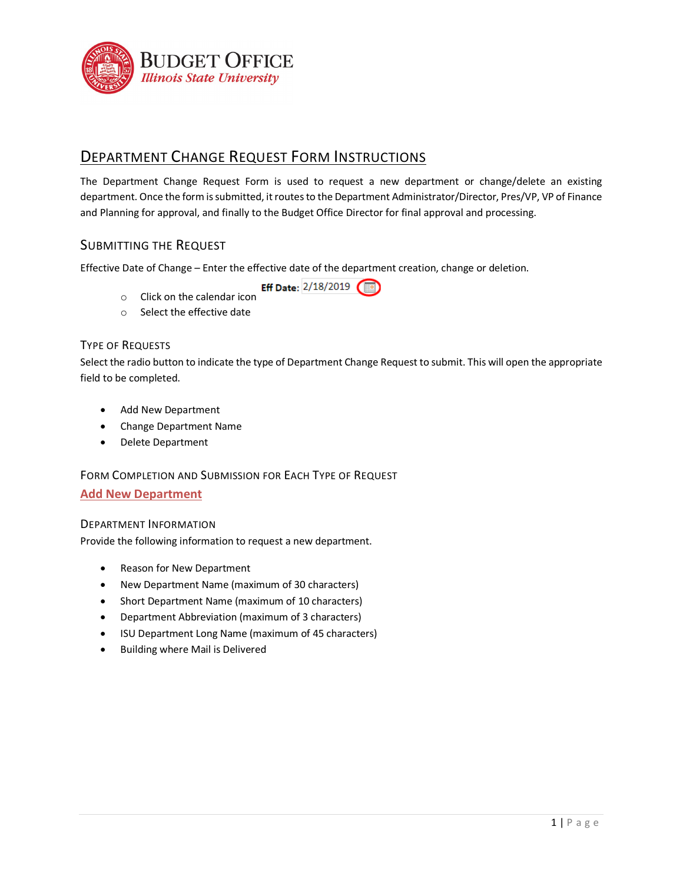

# DEPARTMENT CHANGE REQUEST FORM INSTRUCTIONS

The Department Change Request Form is used to request a new department or change/delete an existing department. Once the form is submitted, it routes to the Department Administrator/Director, Pres/VP, VP of Finance and Planning for approval, and finally to the Budget Office Director for final approval and processing.

## SUBMITTING THE REQUEST

Effective Date of Change – Enter the effective date of the department creation, change or deletion.

Eff Date: 2/18/2019

- o Click on the calendar icon
- o Select the effective date

### TYPE OF REQUESTS

Select the radio button to indicate the type of Department Change Request to submit. This will open the appropriate field to be completed.

- Add New Department
- Change Department Name
- Delete Department

## FORM COMPLETION AND SUBMISSION FOR EACH TYPE OF REQUEST

#### **Add New Department**

#### DEPARTMENT INFORMATION

Provide the following information to request a new department.

- Reason for New Department
- New Department Name (maximum of 30 characters)
- Short Department Name (maximum of 10 characters)
- Department Abbreviation (maximum of 3 characters)
- ISU Department Long Name (maximum of 45 characters)
- Building where Mail is Delivered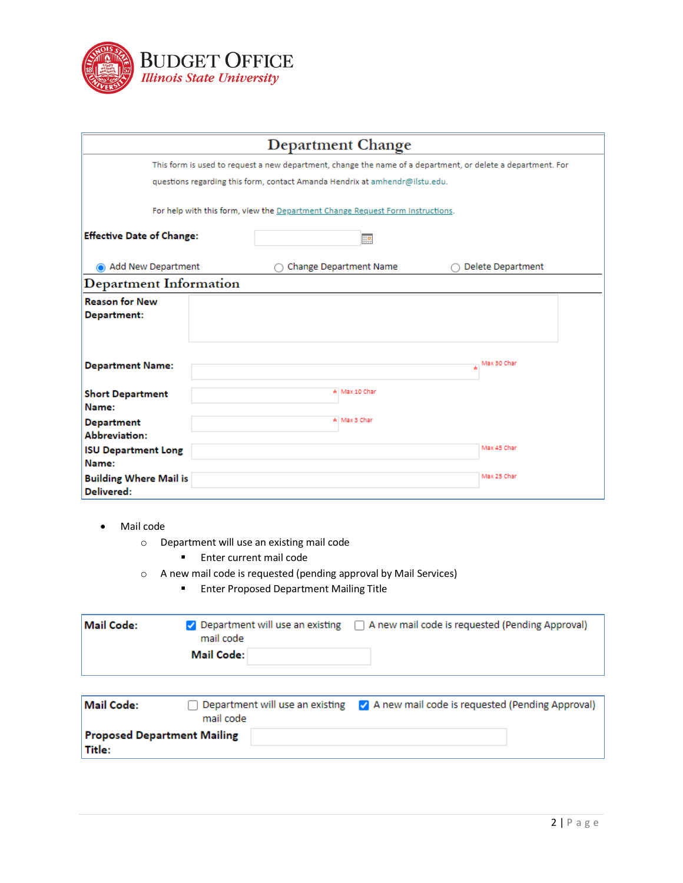

| <b>Department Change</b>                                                                                    |                                                                                |                                    |  |  |
|-------------------------------------------------------------------------------------------------------------|--------------------------------------------------------------------------------|------------------------------------|--|--|
| This form is used to request a new department, change the name of a department, or delete a department. For |                                                                                |                                    |  |  |
|                                                                                                             | questions regarding this form, contact Amanda Hendrix at amhendr@ilstu.edu.    |                                    |  |  |
|                                                                                                             | For help with this form, view the Department Change Request Form Instructions. |                                    |  |  |
| <b>Effective Date of Change:</b>                                                                            | 胆                                                                              |                                    |  |  |
| Add New Department                                                                                          | Change Department Name                                                         | <b>Delete Department</b>           |  |  |
| <b>Department Information</b>                                                                               |                                                                                |                                    |  |  |
| <b>Reason for New</b><br>Department:                                                                        |                                                                                |                                    |  |  |
| <b>Department Name:</b>                                                                                     |                                                                                | $\frac{1}{\mathbf{r}}$ Max 30 Char |  |  |
| <b>Short Department</b><br>Name:                                                                            | * Max 10 Char                                                                  |                                    |  |  |
| <b>Department</b><br>Abbreviation:                                                                          | * Max 3 Char                                                                   |                                    |  |  |
| <b>ISU Department Long</b><br>Name:                                                                         |                                                                                | Max 45 Char                        |  |  |
| <b>Building Where Mail is</b><br>Delivered:                                                                 |                                                                                | Max 25 Char                        |  |  |

- Mail code
	- o Department will use an existing mail code
		- **Enter current mail code**
	- o A new mail code is requested (pending approval by Mail Services)
		- **Enter Proposed Department Mailing Title**

| Mail Code: | mail code  | $\vee$ Department will use an existing $\Box$ A new mail code is requested (Pending Approval) |
|------------|------------|-----------------------------------------------------------------------------------------------|
|            | Mail Code: |                                                                                               |

| Mail Code:                                   | mail code | Department will use an existing M A new mail code is requested (Pending Approval) |
|----------------------------------------------|-----------|-----------------------------------------------------------------------------------|
| <b>Proposed Department Mailing</b><br>Title: |           |                                                                                   |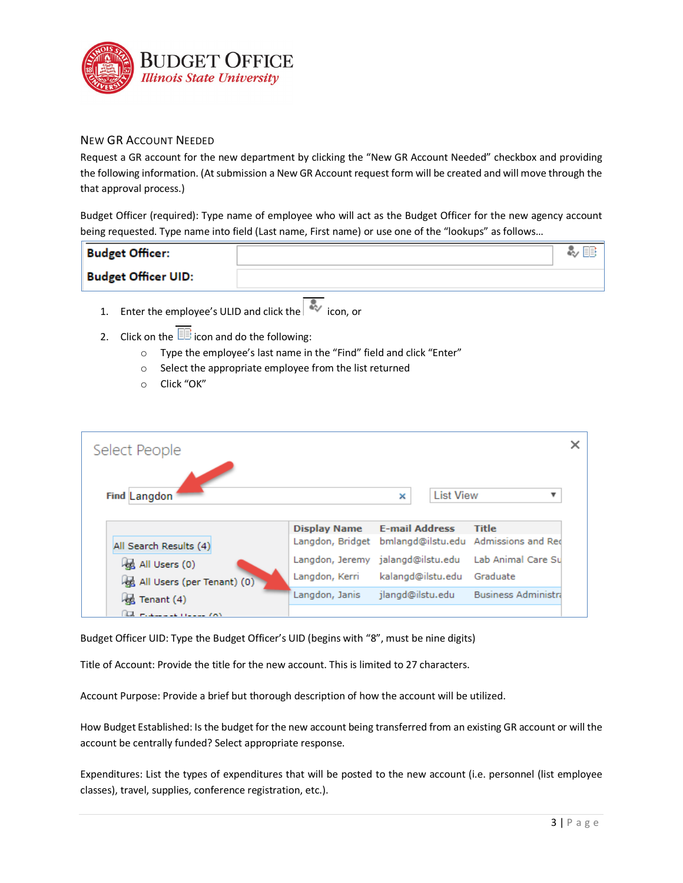

### NEW GR ACCOUNT NEEDED

Request a GR account for the new department by clicking the "New GR Account Needed" checkbox and providing the following information. (At submission a New GR Account request form will be created and will move through the that approval process.)

Budget Officer (required): Type name of employee who will act as the Budget Officer for the new agency account being requested. Type name into field (Last name, First name) or use one of the "lookups" as follows…

| <b>Budget Officer:</b>     |  |
|----------------------------|--|
| <b>Budget Officer UID:</b> |  |

- 1. Enter the employee's ULID and click the icon. or
- 2. Click on the  $\overline{\mathbb{B}}$  icon and do the following:
	- o Type the employee's last name in the "Find" field and click "Enter"
	- o Select the appropriate employee from the list returned
	- o Click "OK"

| Select People              |                     |                                                       |                            |
|----------------------------|---------------------|-------------------------------------------------------|----------------------------|
|                            |                     |                                                       |                            |
| Find Langdon               |                     | <b>List View</b><br>×                                 |                            |
|                            | <b>Display Name</b> | <b>E-mail Address</b>                                 | <b>Title</b>               |
| All Search Results (4)     |                     | Langdon, Bridget bmlangd@ilstu.edu Admissions and Red |                            |
| All Users (0)              |                     | Langdon, Jeremy jalangd@ilstu.edu                     | Lab Animal Care Su         |
| All Users (per Tenant) (0) | Langdon, Kerri      | kalangd@ilstu.edu                                     | Graduate                   |
| Ja Tenant (4)              | Langdon, Janis      | jlangd@ilstu.edu                                      | <b>Business Administra</b> |
| La material House (A)      |                     |                                                       |                            |

Budget Officer UID: Type the Budget Officer's UID (begins with "8", must be nine digits)

Title of Account: Provide the title for the new account. This is limited to 27 characters.

Account Purpose: Provide a brief but thorough description of how the account will be utilized.

How Budget Established: Is the budget for the new account being transferred from an existing GR account or will the account be centrally funded? Select appropriate response.

Expenditures: List the types of expenditures that will be posted to the new account (i.e. personnel (list employee classes), travel, supplies, conference registration, etc.).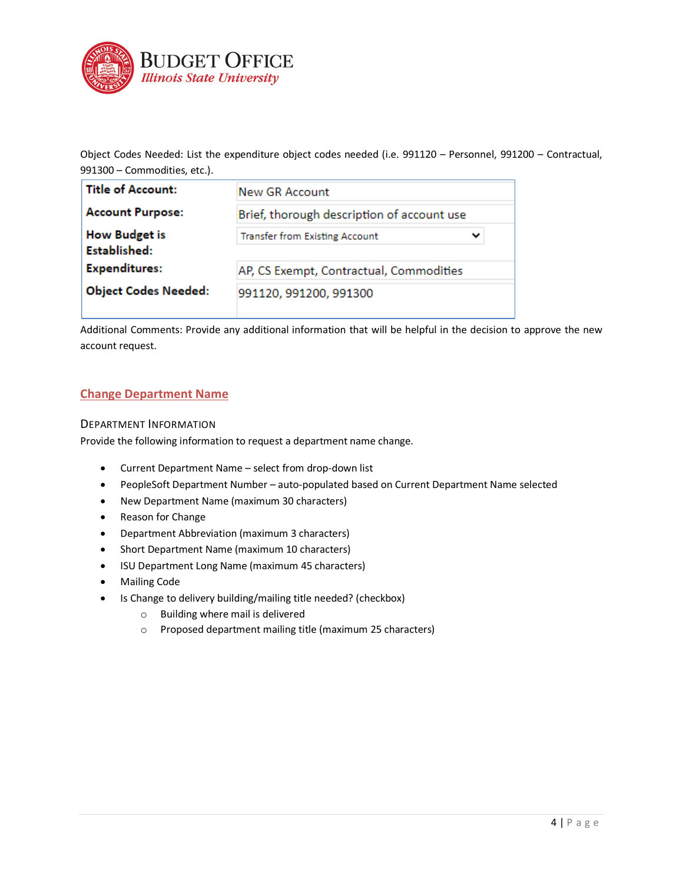

Object Codes Needed: List the expenditure object codes needed (i.e. 991120 – Personnel, 991200 – Contractual, 991300 – Commodities, etc.).

| Title of Account:                    | New GR Account                                       |  |  |
|--------------------------------------|------------------------------------------------------|--|--|
| <b>Account Purpose:</b>              | Brief, thorough description of account use           |  |  |
| <b>How Budget is</b><br>Established: | <b>Transfer from Existing Account</b><br>$\check{ }$ |  |  |
| <b>Expenditures:</b>                 | AP, CS Exempt, Contractual, Commodities              |  |  |
| <b>Object Codes Needed:</b>          | 991120, 991200, 991300                               |  |  |

Additional Comments: Provide any additional information that will be helpful in the decision to approve the new account request.

### **Change Department Name**

#### DEPARTMENT INFORMATION

Provide the following information to request a department name change.

- Current Department Name select from drop-down list
- PeopleSoft Department Number auto-populated based on Current Department Name selected
- New Department Name (maximum 30 characters)
- Reason for Change
- Department Abbreviation (maximum 3 characters)
- Short Department Name (maximum 10 characters)
- ISU Department Long Name (maximum 45 characters)
- Mailing Code
- Is Change to delivery building/mailing title needed? (checkbox)
	- o Building where mail is delivered
	- o Proposed department mailing title (maximum 25 characters)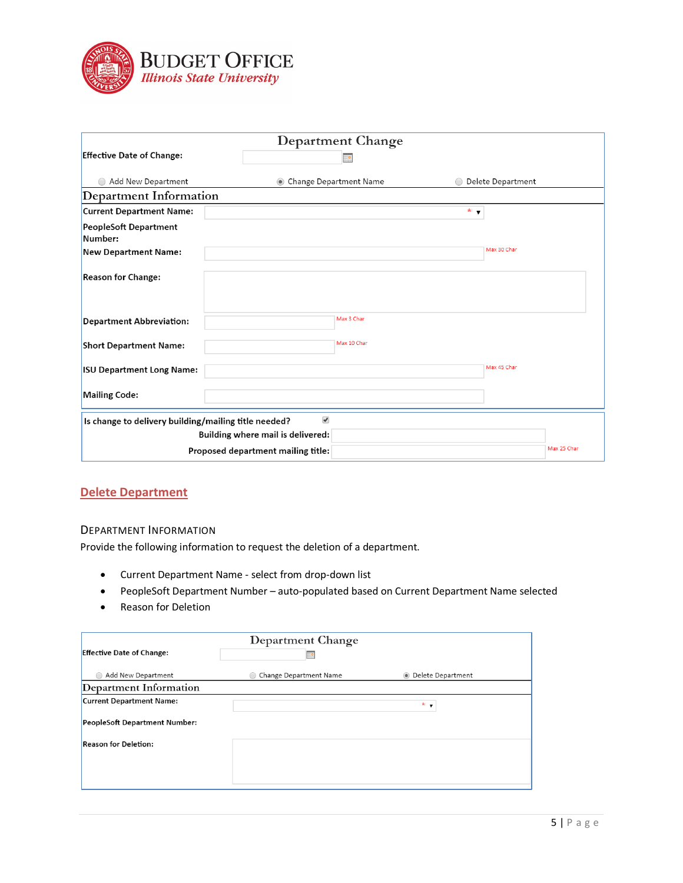

|                                                      |                                                           | Department Change |                   |                   |
|------------------------------------------------------|-----------------------------------------------------------|-------------------|-------------------|-------------------|
| <b>Effective Date of Change:</b>                     |                                                           | #0                |                   |                   |
| Add New Department                                   | • Change Department Name                                  |                   |                   | Delete Department |
| Department Information                               |                                                           |                   |                   |                   |
| <b>Current Department Name:</b>                      |                                                           |                   | $\star$ $\bullet$ |                   |
| <b>PeopleSoft Department</b><br>Number:              |                                                           |                   |                   |                   |
| <b>New Department Name:</b>                          |                                                           |                   |                   | Max 30 Char       |
| <b>Reason for Change:</b>                            |                                                           |                   |                   |                   |
| <b>Department Abbreviation:</b>                      |                                                           | Max 3 Char        |                   |                   |
| <b>Short Department Name:</b>                        |                                                           | Max 10 Char       |                   |                   |
| <b>ISU Department Long Name:</b>                     |                                                           |                   |                   | Max 45 Char       |
| <b>Mailing Code:</b>                                 |                                                           |                   |                   |                   |
| Is change to delivery building/mailing title needed? | $\blacktriangledown$<br>Building where mail is delivered: |                   |                   |                   |
|                                                      | Proposed department mailing title:                        |                   |                   | Max 25 Char       |

# **Delete Department**

#### DEPARTMENT INFORMATION

Provide the following information to request the deletion of a department.

- Current Department Name select from drop-down list
- PeopleSoft Department Number auto-populated based on Current Department Name selected
- Reason for Deletion

| Department Change                    |                        |                     |  |  |
|--------------------------------------|------------------------|---------------------|--|--|
| <b>Effective Date of Change:</b>     | 諆                      |                     |  |  |
| Add New Department                   | Change Department Name | • Delete Department |  |  |
| Department Information               |                        |                     |  |  |
| <b>Current Department Name:</b>      |                        | *.                  |  |  |
| <b>PeopleSoft Department Number:</b> |                        |                     |  |  |
| <b>Reason for Deletion:</b>          |                        |                     |  |  |
|                                      |                        |                     |  |  |
|                                      |                        |                     |  |  |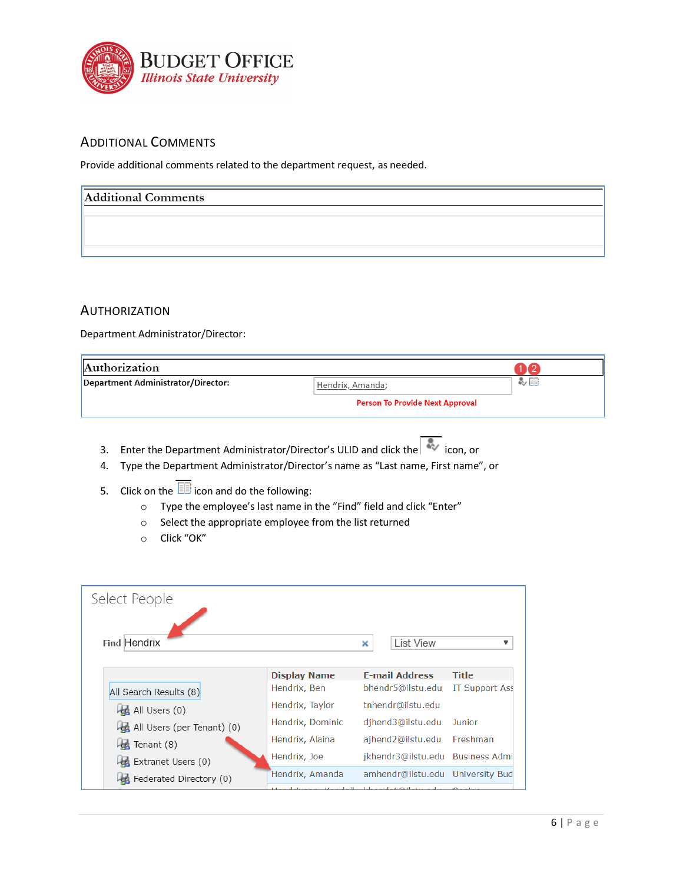

# ADDITIONAL COMMENTS

Provide additional comments related to the department request, as needed.

| <b>Additional Comments</b> |  |  |
|----------------------------|--|--|
|                            |  |  |
|                            |  |  |
|                            |  |  |

## **AUTHORIZATION**

Department Administrator/Director:

| Authorization                      |                                        |    |
|------------------------------------|----------------------------------------|----|
| Department Administrator/Director: | Hendrix, Amanda;                       | 多国 |
|                                    | <b>Person To Provide Next Approval</b> |    |

- 3. Enter the Department Administrator/Director's ULID and click the icon, or
- 4. Type the Department Administrator/Director's name as "Last name, First name", or
- 5. Click on the  $\overline{\mathbb{B}}$  icon and do the following:
	- o Type the employee's last name in the "Find" field and click "Enter"
	- o Select the appropriate employee from the list returned
	- o Click "OK"

| Select People              |                     |   |                       |                                  |
|----------------------------|---------------------|---|-----------------------|----------------------------------|
| Find Hendrix               |                     | × | <b>List View</b>      |                                  |
|                            | <b>Display Name</b> |   | <b>E-mail Address</b> | <b>Title</b>                     |
| All Search Results (8)     | Hendrix, Ben        |   | bhendr5@ilstu.edu     | IT Support Ass                   |
| All Users (0)              | Hendrix, Taylor     |   | tnhendr@ilstu.edu     |                                  |
| All Users (per Tenant) (0) | Hendrix, Dominic    |   | djhend3@ilstu.edu     | <b>Junior</b>                    |
| Tenant (8)                 | Hendrix, Alaina     |   | ajhend2@ilstu.edu     | Freshman                         |
| Extranet Users (0)         | Hendrix, Joe        |   |                       | jkhendr3@ilstu.edu Business Admi |
| Federated Directory (0)    | Hendrix, Amanda     |   |                       | amhendr@ilstu.edu University Bud |
|                            |                     |   |                       |                                  |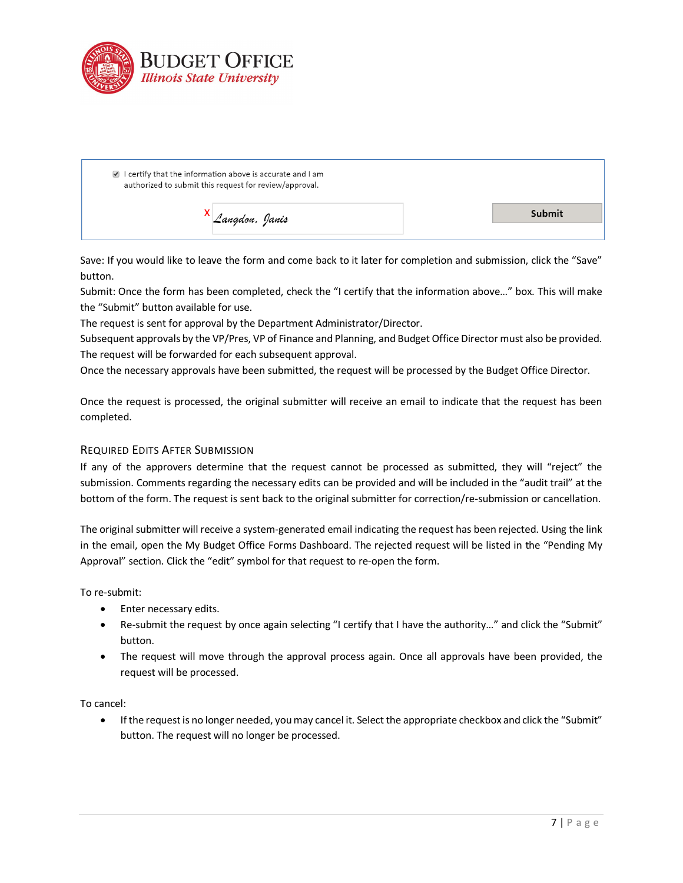

| $\blacksquare$ I certify that the information above is accurate and I am<br>authorized to submit this request for review/approval. |        |
|------------------------------------------------------------------------------------------------------------------------------------|--------|
| Langdon, Janis                                                                                                                     | Submit |

Save: If you would like to leave the form and come back to it later for completion and submission, click the "Save" button.

Submit: Once the form has been completed, check the "I certify that the information above…" box. This will make the "Submit" button available for use.

The request is sent for approval by the Department Administrator/Director.

Subsequent approvals by the VP/Pres, VP of Finance and Planning, and Budget Office Director must also be provided. The request will be forwarded for each subsequent approval.

Once the necessary approvals have been submitted, the request will be processed by the Budget Office Director.

Once the request is processed, the original submitter will receive an email to indicate that the request has been completed.

### REQUIRED EDITS AFTER SUBMISSION

If any of the approvers determine that the request cannot be processed as submitted, they will "reject" the submission. Comments regarding the necessary edits can be provided and will be included in the "audit trail" at the bottom of the form. The request is sent back to the original submitter for correction/re-submission or cancellation.

The original submitter will receive a system-generated email indicating the request has been rejected. Using the link in the email, open the My Budget Office Forms Dashboard. The rejected request will be listed in the "Pending My Approval" section. Click the "edit" symbol for that request to re-open the form.

To re-submit:

- Enter necessary edits.
- Re-submit the request by once again selecting "I certify that I have the authority…" and click the "Submit" button.
- The request will move through the approval process again. Once all approvals have been provided, the request will be processed.

To cancel:

• If the request is no longer needed, you may cancel it. Select the appropriate checkbox and click the "Submit" button. The request will no longer be processed.